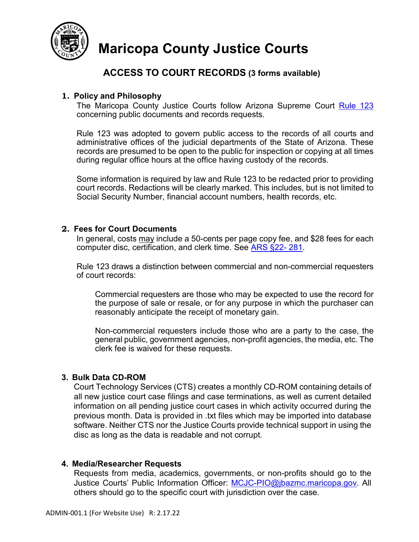

# **Maricopa County Justice Courts**

## **ACCESS TO COURT RECORDS (3 forms available)**

### **1. Policy and Philosophy**

The Maricopa County Justice Courts follow Arizona Supreme Court [Rule 123](https://govt.westlaw.com/azrules/Document/NFC83A66025C811E3A3DDB79419D1C223?viewType=FullText&originationContext=documenttoc&transitionType=CategoryPageItem&contextData=(sc.Default)) concerning public documents and records requests.

Rule 123 was adopted to govern public access to the records of all courts and administrative offices of the judicial departments of the State of Arizona. These records are presumed to be open to the public for inspection or copying at all times during regular office hours at the office having custody of the records.

Some information is required by law and Rule 123 to be redacted prior to providing court records. Redactions will be clearly marked. This includes, but is not limited to Social Security Number, financial account numbers, health records, etc.

#### **2. Fees for Court Documents**

In general, costs may include a 50-cents per page copy fee, and \$28 fees for each computer disc, certification, and clerk time. See [ARS §22-](https://www.azleg.gov/viewdocument/?docName=https://www.azleg.gov/ars/22/00281.htm) 281.

Rule 123 draws a distinction between commercial and non-commercial requesters of court records:

Commercial requesters are those who may be expected to use the record for the purpose of sale or resale, or for any purpose in which the purchaser can reasonably anticipate the receipt of monetary gain.

Non-commercial requesters include those who are a party to the case, the general public, government agencies, non-profit agencies, the media, etc. The clerk fee is waived for these requests.

### **3. Bulk Data CD-ROM**

Court Technology Services (CTS) creates a monthly CD-ROM containing details of all new justice court case filings and case terminations, as well as current detailed information on all pending justice court cases in which activity occurred during the previous month. Data is provided in .txt files which may be imported into database software. Neither CTS nor the Justice Courts provide technical support in using the disc as long as the data is readable and not corrupt.

#### **4. Media/Researcher Requests**

Requests from media, academics, governments, or non-profits should go to the Justice Courts' Public Information Officer: [MCJC-PIO@jbazmc.maricopa.gov.](mailto:MCJC-PIO@jbazmc.maricopa.gov) All others should go to the specific court with jurisdiction over the case.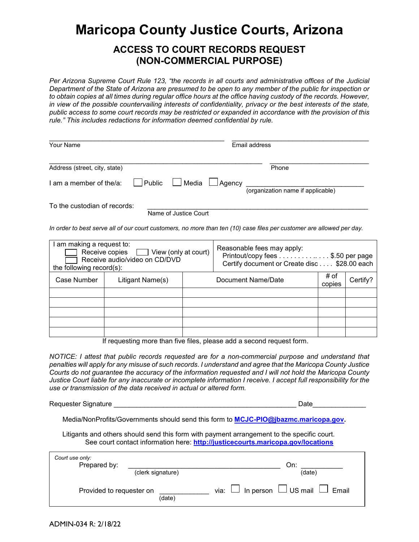# **Maricopa County Justice Courts, Arizona**

## **ACCESS TO COURT RECORDS REQUEST (NON-COMMERCIAL PURPOSE)**

*Per Arizona Supreme Court Rule 123, "the records in all courts and administrative offices of the Judicial Department of the State of Arizona are presumed to be open to any member of the public for inspection or*  to obtain copies at all times during regular office hours at the office having custody of the records. However, *in view of the possible countervailing interests of confidentiality, privacy or the best interests of the state, public access to some court records may be restricted or expanded in accordance with the provision of this rule." This includes redactions for information deemed confidential by rule.*

| Your Name                                                             |                       | Email address                     |
|-----------------------------------------------------------------------|-----------------------|-----------------------------------|
| Address (street, city, state)                                         |                       | Phone                             |
| $\Box$ am a member of the/a: $\Box$ Public $\Box$ Media $\Box$ Agency |                       | (organization name if applicable) |
| To the custodian of records:                                          | Name of Justice Court |                                   |

*In order to best serve all of our court customers, no more than ten (10) case files per customer are allowed per day.*

| am making a request to:<br>Receive copies <u>a View</u> (only at court)<br>Receive audio/video on CD/DVD<br>the following record $(s)$ : |                  | Reasonable fees may apply:<br>Printout/copy fees \$.50 per page<br>Certify document or Create disc \$28.00 each |                    |                |          |
|------------------------------------------------------------------------------------------------------------------------------------------|------------------|-----------------------------------------------------------------------------------------------------------------|--------------------|----------------|----------|
| Case Number                                                                                                                              | Litigant Name(s) |                                                                                                                 | Document Name/Date | # of<br>copies | Certify? |
|                                                                                                                                          |                  |                                                                                                                 |                    |                |          |
|                                                                                                                                          |                  |                                                                                                                 |                    |                |          |
|                                                                                                                                          |                  |                                                                                                                 |                    |                |          |
|                                                                                                                                          |                  |                                                                                                                 |                    |                |          |
|                                                                                                                                          |                  |                                                                                                                 |                    |                |          |

If requesting more than five files, please add a second request form.

*NOTICE: I attest that public records requested are for a non-commercial purpose and understand that penalties will apply for any misuse of such records. I understand and agree that the Maricopa County Justice Courts do not guarantee the accuracy of the information requested and I will not hold the Maricopa County Justice Court liable for any inaccurate or incomplete information I receive. I accept full responsibility for the use or transmission of the data received in actual or altered form.*

| Requester Signature                                                                        | Date |
|--------------------------------------------------------------------------------------------|------|
|                                                                                            |      |
| Media/NonProfits/Governments should send this form to <b>MCJC-PIO@jbazmc.maricopa.gov.</b> |      |

 Litigants and others should send this form with payment arrangement to the specific court. See court contact information here: **<http://justicecourts.maricopa.gov/locations>**

| Court use only:<br>Prepared by: | (clerk signature) | On:<br>(date)                                     |
|---------------------------------|-------------------|---------------------------------------------------|
| Provided to requester on        | (date)            | via: $\Box$ In person $\Box$ US mail $\Box$ Email |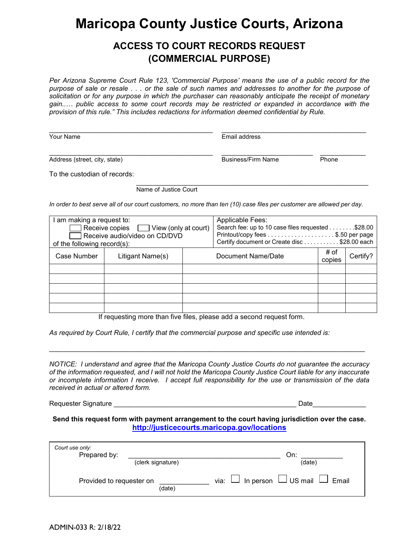# **Maricopa County Justice Courts, Arizona**

## **ACCESS TO COURT RECORDS REQUEST (COMMERCIAL PURPOSE)**

*Per Arizona Supreme Court Rule 123, 'Commercial Purpose' means the use of a public record for the purpose of sale or resale . . . or the sale of such names and addresses to another for the purpose of solicitation or for any purpose in which the purchaser can reasonably anticipate the receipt of monetary gain..… public access to some court records may be restricted or expanded in accordance with the provision of this rule." This includes redactions for information deemed confidential by Rule.*

| Your Name                     | Email address             |       |  |
|-------------------------------|---------------------------|-------|--|
| Address (street, city, state) | <b>Business/Firm Name</b> | Phone |  |
| To the custodian of records:  |                           |       |  |

Name of Justice Court

*In order to best serve all of our court customers, no more than ten (10) case files per customer are allowed per day.*

| I am making a request to:<br>Receive copies $\Box$ View (only at court)<br>Receive audio/video on CD/DVD<br>of the following record(s): |                  |  | <b>Applicable Fees:</b><br>Search fee: up to 10 case files requested \$28.00<br>Certify document or Create disc \$28.00 each |                |          |
|-----------------------------------------------------------------------------------------------------------------------------------------|------------------|--|------------------------------------------------------------------------------------------------------------------------------|----------------|----------|
| Case Number                                                                                                                             | Litigant Name(s) |  | Document Name/Date                                                                                                           | # of<br>copies | Certify? |
|                                                                                                                                         |                  |  |                                                                                                                              |                |          |
|                                                                                                                                         |                  |  |                                                                                                                              |                |          |
|                                                                                                                                         |                  |  |                                                                                                                              |                |          |
|                                                                                                                                         |                  |  |                                                                                                                              |                |          |
|                                                                                                                                         |                  |  |                                                                                                                              |                |          |

If requesting more than five files, please add a second request form.

*As required by Court Rule, I certify that the commercial purpose and specific use intended is:* 

*NOTICE: I understand and agree that the Maricopa County Justice Courts do not guarantee the accuracy of the information requested, and I will not hold the Maricopa County Justice Court liable for any inaccurate or incomplete information I receive. I accept full responsibility for the use or transmission of the data received in actual or altered form.*

\_\_\_\_\_\_\_\_\_\_\_\_\_\_\_\_\_\_\_\_\_\_\_\_\_\_\_\_\_\_\_\_\_\_\_\_\_\_\_\_\_\_\_\_\_\_\_\_\_\_\_\_\_\_\_\_\_\_\_\_\_\_\_\_\_\_\_\_\_\_\_\_\_\_\_\_\_\_\_\_\_\_\_

Requester Signature \_\_\_\_\_\_\_\_\_\_\_\_\_\_\_\_\_\_\_\_\_\_\_\_\_\_\_\_\_\_\_\_\_\_\_\_\_\_\_\_\_\_\_\_\_\_\_\_ Date\_\_\_\_\_\_\_\_\_\_\_\_\_\_

#### **Send this request form with payment arrangement to the court having jurisdiction over the case. <http://justicecourts.maricopa.gov/locations>**

| Court use only:<br>Prepared by:<br>(clerk signature) | On:<br>(date)                                     |
|------------------------------------------------------|---------------------------------------------------|
| Provided to requester on<br>(date)                   | via: $\Box$ In person $\Box$ US mail $\Box$ Email |